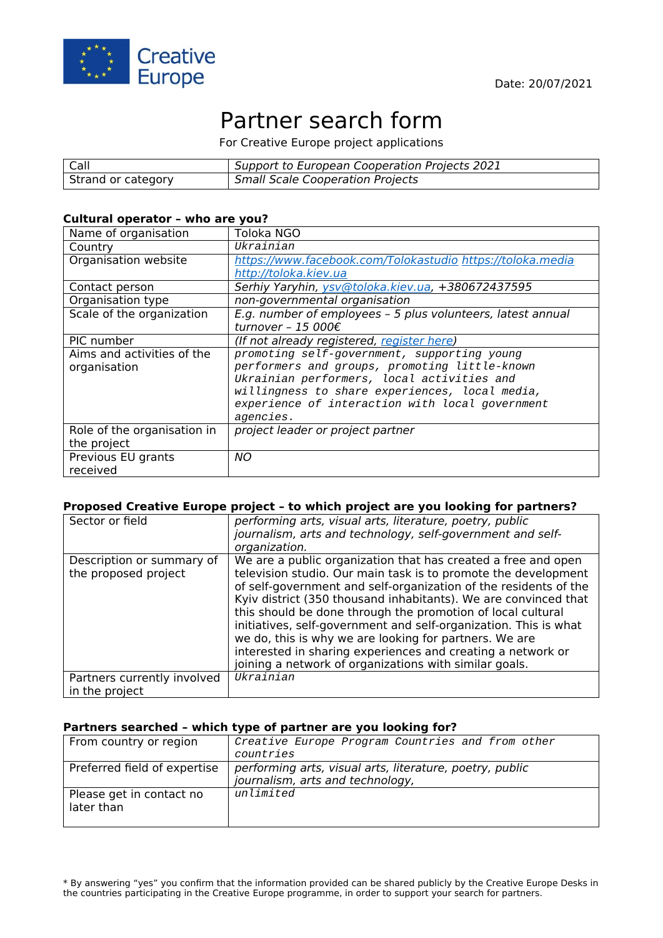

# Partner search form

For Creative Europe project applications

| $ $ Call           | Support to European Cooperation Projects 2021 |
|--------------------|-----------------------------------------------|
| Strand or category | Small Scale Cooperation Projects              |

#### **Cultural operator – who are you?**

| Name of organisation        | Toloka NGO                                                  |
|-----------------------------|-------------------------------------------------------------|
| Country                     | Ukrainian                                                   |
| Organisation website        | https://www.facebook.com/Tolokastudio https://toloka.media  |
|                             | http://toloka.kiev.ua                                       |
| Contact person              | Serhiy Yaryhin, ysv@toloka.kiev.ua, +380672437595           |
| Organisation type           | non-governmental organisation                               |
| Scale of the organization   | E.g. number of employees - 5 plus volunteers, latest annual |
|                             | turnover - 15 000€                                          |
| PIC number                  | (If not already registered, register here)                  |
| Aims and activities of the  | promoting self-government, supporting young                 |
| organisation                | performers and groups, promoting little-known               |
|                             | Ukrainian performers, local activities and                  |
|                             | willingness to share experiences, local media,              |
|                             | experience of interaction with local government             |
|                             | agencies.                                                   |
| Role of the organisation in | project leader or project partner                           |
| the project                 |                                                             |
| Previous EU grants          | <b>NO</b>                                                   |
| received                    |                                                             |

#### **Proposed Creative Europe project – to which project are you looking for partners?**

| Sector or field                                   | performing arts, visual arts, literature, poetry, public<br>journalism, arts and technology, self-government and self-<br>organization.                                                                                                                                                                                                                                                                                                                                                                                                                                                      |
|---------------------------------------------------|----------------------------------------------------------------------------------------------------------------------------------------------------------------------------------------------------------------------------------------------------------------------------------------------------------------------------------------------------------------------------------------------------------------------------------------------------------------------------------------------------------------------------------------------------------------------------------------------|
| Description or summary of<br>the proposed project | We are a public organization that has created a free and open<br>television studio. Our main task is to promote the development<br>of self-government and self-organization of the residents of the<br>Kyiv district (350 thousand inhabitants). We are convinced that<br>this should be done through the promotion of local cultural<br>initiatives, self-government and self-organization. This is what<br>we do, this is why we are looking for partners. We are<br>interested in sharing experiences and creating a network or<br>joining a network of organizations with similar goals. |
| Partners currently involved<br>in the project     | Ukrainian                                                                                                                                                                                                                                                                                                                                                                                                                                                                                                                                                                                    |

#### **Partners searched – which type of partner are you looking for?**

| From country or region                 | Creative Europe Program Countries and from other         |
|----------------------------------------|----------------------------------------------------------|
|                                        | countries                                                |
| Preferred field of expertise           | performing arts, visual arts, literature, poetry, public |
|                                        | journalism, arts and technology,                         |
| Please get in contact no<br>later than | unlimited                                                |
|                                        |                                                          |